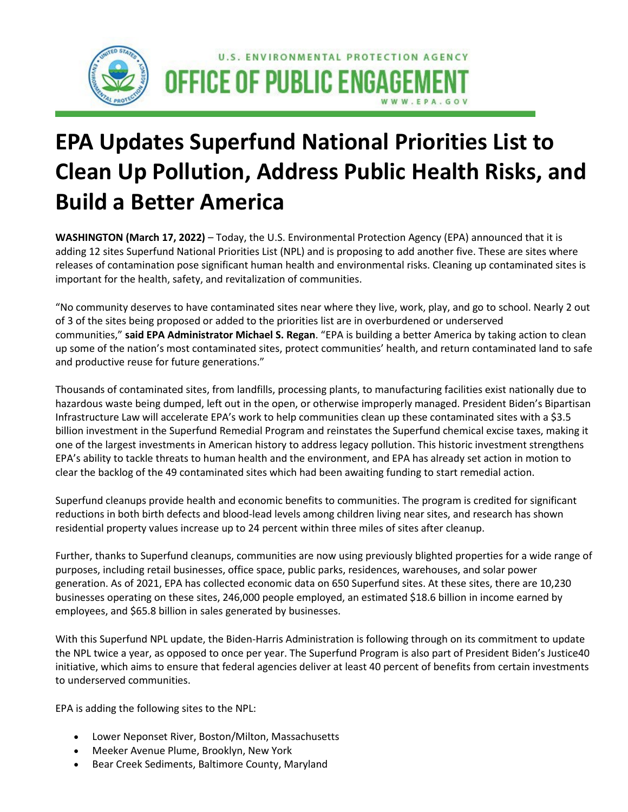

## **EPA Updates Superfund National Priorities List to Clean Up Pollution, Address Public Health Risks, and Build a Better America**

**WASHINGTON (March 17, 2022)** – Today, the U.S. Environmental Protection Agency (EPA) announced that it is adding 12 sites Superfund National Priorities List (NPL) and is proposing to add another five. These are sites where releases of contamination pose significant human health and environmental risks. Cleaning up contaminated sites is important for the health, safety, and revitalization of communities.

"No community deserves to have contaminated sites near where they live, work, play, and go to school. Nearly 2 out of 3 of the sites being proposed or added to the priorities list are in overburdened or underserved communities," **said EPA Administrator Michael S. Regan**. "EPA is building a better America by taking action to clean up some of the nation's most contaminated sites, protect communities' health, and return contaminated land to safe and productive reuse for future generations."

Thousands of contaminated sites, from landfills, processing plants, to manufacturing facilities exist nationally due to hazardous waste being dumped, left out in the open, or otherwise improperly managed. President Biden's Bipartisan Infrastructure Law will accelerate EPA's work to help communities clean up these contaminated sites with a \$3.5 billion investment in the Superfund Remedial Program and reinstates the Superfund chemical excise taxes, making it one of the largest investments in American history to address legacy pollution. This historic investment strengthens EPA's ability to tackle threats to human health and the environment, and EPA has already set action in motion to clear the backlog of the 49 contaminated sites which had been awaiting funding to start remedial action.

Superfund cleanups provide health and economic benefits to communities. The program is credited for significant reductions in both birth defects and blood-lead levels among children living near sites, and research has shown residential property values increase up to 24 percent within three miles of sites after cleanup.

Further, thanks to Superfund cleanups, communities are now using previously blighted properties for a wide range of purposes, including retail businesses, office space, public parks, residences, warehouses, and solar power generation. As of 2021, EPA has collected economic data on 650 Superfund sites. At these sites, there are 10,230 businesses operating on these sites, 246,000 people employed, an estimated \$18.6 billion in income earned by employees, and \$65.8 billion in sales generated by businesses.

With this Superfund NPL update, the Biden-Harris Administration is following through on its commitment to update the NPL twice a year, as opposed to once per year. The Superfund Program is also part of President Biden's Justice40 initiative, which aims to ensure that federal agencies deliver at least 40 percent of benefits from certain investments to underserved communities.

EPA is adding the following sites to the NPL:

- Lower Neponset River, Boston/Milton, Massachusetts
- Meeker Avenue Plume, Brooklyn, New York
- Bear Creek Sediments, Baltimore County, Maryland